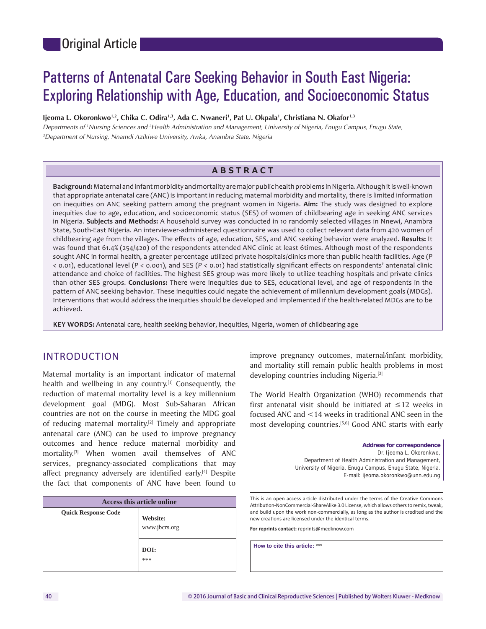# Patterns of Antenatal Care Seeking Behavior in South East Nigeria: Exploring Relationship with Age, Education, and Socioeconomic Status

Ijeoma L. Okoronkwo<sup>1,2</sup>, Chika C. Odira<sup>1,3</sup>, Ada C. Nwaneri<sup>1</sup>, Pat U. Okpala<sup>1</sup>, Christiana N. Okafor<sup>1,3</sup>

*Departments of 1 Nursing Sciences and 2 Health Administration and Management, University of Nigeria, Enugu Campus, Enugu State, 3 Department of Nursing, Nnamdi Azikiwe University, Awka, Anambra State, Nigeria*

## **ABSTRACT**

**Background:** Maternal and infant morbidity and mortality are major public health problems in Nigeria. Although it is well-known that appropriate antenatal care (ANC) is important in reducing maternal morbidity and mortality, there is limited information on inequities on ANC seeking pattern among the pregnant women in Nigeria. **Aim:** The study was designed to explore inequities due to age, education, and socioeconomic status (SES) of women of childbearing age in seeking ANC services in Nigeria. **Subjects and Methods:** A household survey was conducted in 10 randomly selected villages in Nnewi, Anambra State, South-East Nigeria. An interviewer-administered questionnaire was used to collect relevant data from 420 women of childbearing age from the villages. The effects of age, education, SES, and ANC seeking behavior were analyzed. **Results:** It was found that 61.4% (254/420) of the respondents attended ANC clinic at least 6times. Although most of the respondents sought ANC in formal health, a greater percentage utilized private hospitals/clinics more than public health facilities. Age (*P* < 0.01), educational level (*P* < 0.001), and SES (*P* < 0.01) had statistically significant effects on respondents' antenatal clinic attendance and choice of facilities. The highest SES group was more likely to utilize teaching hospitals and private clinics than other SES groups. **Conclusions:** There were inequities due to SES, educational level, and age of respondents in the pattern of ANC seeking behavior. These inequities could negate the achievement of millennium development goals (MDGs). Interventions that would address the inequities should be developed and implemented if the health-related MDGs are to be achieved.

**KEY WORDS:** Antenatal care, health seeking behavior, inequities, Nigeria, women of childbearing age

# INTRODUCTION

Maternal mortality is an important indicator of maternal health and wellbeing in any country.<sup>[1]</sup> Consequently, the reduction of maternal mortality level is a key millennium development goal (MDG). Most Sub-Saharan African countries are not on the course in meeting the MDG goal of reducing maternal mortality.<sup>[2]</sup> Timely and appropriate antenatal care (ANC) can be used to improve pregnancy outcomes and hence reduce maternal morbidity and mortality.[3] When women avail themselves of ANC services, pregnancy-associated complications that may affect pregnancy adversely are identified early.[4] Despite the fact that components of ANC have been found to

| Access this article online |                           |  |  |
|----------------------------|---------------------------|--|--|
| <b>Quick Response Code</b> | Website:<br>www.jbcrs.org |  |  |
|                            | DOI:<br>***               |  |  |

improve pregnancy outcomes, maternal/infant morbidity, and mortality still remain public health problems in most developing countries including Nigeria.<sup>[2]</sup>

The World Health Organization (WHO) recommends that first antenatal visit should be initiated at ≤12 weeks in focused ANC and <14 weeks in traditional ANC seen in the most developing countries.<sup>[5,6]</sup> Good ANC starts with early

> **Address for correspondence** Dr. Ijeoma L. Okoronkwo, Department of Health Administration and Management, University of Nigeria, Enugu Campus, Enugu State, Nigeria. E-mail: ijeoma.okoronkwo@unn.edu.ng

This is an open access article distributed under the terms of the Creative Commons Attribution-NonCommercial-ShareAlike 3.0 License, which allows others to remix, tweak, and build upon the work non‑commercially, as long as the author is credited and the new creations are licensed under the identical terms.

**For reprints contact:** reprints@medknow.com

**How to cite this article:** \*\*\*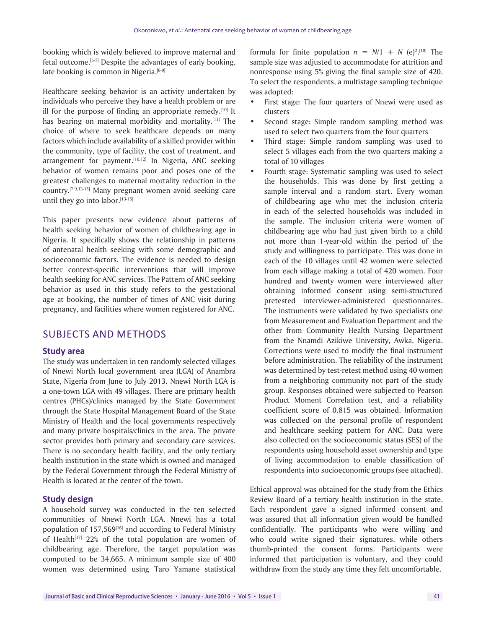booking which is widely believed to improve maternal and fetal outcome.[5-7] Despite the advantages of early booking, late booking is common in Nigeria.[6-9]

Healthcare seeking behavior is an activity undertaken by individuals who perceive they have a health problem or are ill for the purpose of finding an appropriate remedy.<sup>[10]</sup> It has bearing on maternal morbidity and mortality.<sup>[11]</sup> The choice of where to seek healthcare depends on many factors which include availability of a skilled provider within the community, type of facility, the cost of treatment, and arrangement for payment.<sup>[10,12]</sup> In Nigeria, ANC seeking behavior of women remains poor and poses one of the greatest challenges to maternal mortality reduction in the country.[7,9,13-15] Many pregnant women avoid seeking care until they go into labor. $[13-15]$ 

This paper presents new evidence about patterns of health seeking behavior of women of childbearing age in Nigeria. It specifically shows the relationship in patterns of antenatal health seeking with some demographic and socioeconomic factors. The evidence is needed to design better context-specific interventions that will improve health seeking for ANC services. The Pattern of ANC seeking behavior as used in this study refers to the gestational age at booking, the number of times of ANC visit during pregnancy, and facilities where women registered for ANC.

# SUBJECTS AND METHODS

## **Study area**

The study was undertaken in ten randomly selected villages of Nnewi North local government area (LGA) of Anambra State, Nigeria from June to July 2013. Nnewi North LGA is a one-town LGA with 49 villages. There are primary health centres (PHCs)/clinics managed by the State Government through the State Hospital Management Board of the State Ministry of Health and the local governments respectively and many private hospitals/clinics in the area. The private sector provides both primary and secondary care services. There is no secondary health facility, and the only tertiary health institution in the state which is owned and managed by the Federal Government through the Federal Ministry of Health is located at the center of the town.

## **Study design**

A household survey was conducted in the ten selected communities of Nnewi North LGA. Nnewi has a total population of 157,569[16] and according to Federal Ministry of Health $[17]$  22% of the total population are women of childbearing age. Therefore, the target population was computed to be 34,665. A minimum sample size of 400 women was determined using Taro Yamane statistical

formula for finite population  $n = N/1 + N$  (e)<sup>2</sup>.[18] The sample size was adjusted to accommodate for attrition and nonresponse using 5% giving the final sample size of 420. To select the respondents, a multistage sampling technique was adopted:

- First stage: The four quarters of Nnewi were used as clusters
- Second stage: Simple random sampling method was used to select two quarters from the four quarters
- Third stage: Simple random sampling was used to select 5 villages each from the two quarters making a total of 10 villages
- Fourth stage: Systematic sampling was used to select the households. This was done by first getting a sample interval and a random start. Every woman of childbearing age who met the inclusion criteria in each of the selected households was included in the sample. The inclusion criteria were women of childbearing age who had just given birth to a child not more than 1-year-old within the period of the study and willingness to participate. This was done in each of the 10 villages until 42 women were selected from each village making a total of 420 women. Four hundred and twenty women were interviewed after obtaining informed consent using semi-structured pretested interviewer-administered questionnaires. The instruments were validated by two specialists one from Measurement and Evaluation Department and the other from Community Health Nursing Department from the Nnamdi Azikiwe University, Awka, Nigeria. Corrections were used to modify the final instrument before administration. The reliability of the instrument was determined by test-retest method using 40 women from a neighboring community not part of the study group. Responses obtained were subjected to Pearson Product Moment Correlation test, and a reliability coefficient score of 0.815 was obtained. Information was collected on the personal profile of respondent and healthcare seeking pattern for ANC. Data were also collected on the socioeconomic status (SES) of the respondents using household asset ownership and type of living accommodation to enable classification of respondents into socioeconomic groups (see attached).

Ethical approval was obtained for the study from the Ethics Review Board of a tertiary health institution in the state. Each respondent gave a signed informed consent and was assured that all information given would be handled confidentially. The participants who were willing and who could write signed their signatures, while others thumb-printed the consent forms. Participants were informed that participation is voluntary, and they could withdraw from the study any time they felt uncomfortable.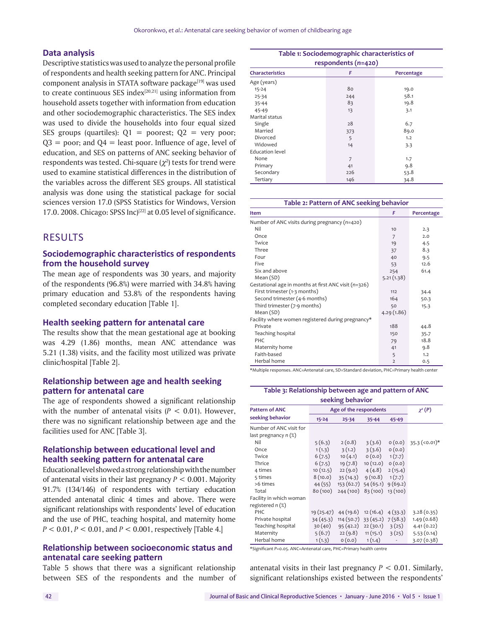#### **Data analysis**

Descriptive statistics was used to analyze the personal profile of respondents and health seeking pattern for ANC. Principal component analysis in STATA software package[19] was used to create continuous SES index $[20,21]$  using information from household assets together with information from education and other sociodemographic characteristics. The SES index was used to divide the households into four equal sized SES groups (quartiles):  $Q1$  = poorest;  $Q2$  = very poor;  $Q3$  = poor; and  $Q4$  = least poor. Influence of age, level of education, and SES on patterns of ANC seeking behavior of respondents was tested. Chi-square  $(\chi^2)$  tests for trend were used to examine statistical differences in the distribution of the variables across the different SES groups. All statistical analysis was done using the statistical package for social sciences version 17.0 (SPSS Statistics for Windows, Version 17.0. 2008. Chicago: SPSS Inc)<sup>[22]</sup> at 0.05 level of significance.

## RESULTS

## **Sociodemographic characteristics of respondents from the household survey**

The mean age of respondents was 30 years, and majority of the respondents (96.8%) were married with 34.8% having primary education and 53.8% of the respondents having completed secondary education [Table 1].

#### **Health seeking pattern for antenatal care**

The results show that the mean gestational age at booking was 4.29 (1.86) months, mean ANC attendance was 5.21 (1.38) visits, and the facility most utilized was private clinic/hospital [Table 2].

## **Relationship between age and health seeking pattern for antenatal care**

The age of respondents showed a significant relationship with the number of antenatal visits  $(P < 0.01)$ . However, there was no significant relationship between age and the facilities used for ANC [Table 3].

## **Relationship between educational level and health seeking pattern for antenatal care**

Educational level showed a strong relationship with the number of antenatal visits in their last pregnancy *P* < 0.001. Majority 91.7% (134/146) of respondents with tertiary education attended antenatal clinic 4 times and above. There were significant relationships with respondents' level of education and the use of PHC, teaching hospital, and maternity home *P* < 0.01, *P* < 0.01, and *P* < 0.001, respectively [Table 4.]

## **Relationship between socioeconomic status and antenatal care seeking pattern**

Table 5 shows that there was a significant relationship between SES of the respondents and the number of

| Table 1: Sociodemographic characteristics of |     |            |  |  |
|----------------------------------------------|-----|------------|--|--|
| respondents (n=420)                          |     |            |  |  |
| <b>Characteristics</b>                       | F   | Percentage |  |  |
| Age (years)                                  |     |            |  |  |
| $15 - 24$                                    | 80  | 19.0       |  |  |
| $25 - 34$                                    | 244 | 58.1       |  |  |
| 35-44                                        | 83  | 19.8       |  |  |
| 45-49                                        | 13  | 3.1        |  |  |
| Marital status                               |     |            |  |  |
| Single                                       | 28  | 6.7        |  |  |
| Married                                      | 373 | 89.0       |  |  |
| Divorced                                     | 5   | 1.2        |  |  |
| Widowed                                      | 14  | 3.3        |  |  |
| <b>Education level</b>                       |     |            |  |  |
| None                                         | 7   | 1.7        |  |  |
| Primary                                      | 41  | 9.8        |  |  |
| Secondary                                    | 226 | 53.8       |  |  |
| Tertiary                                     | 146 | 34.8       |  |  |

| Table 2: Pattern of ANC seeking behavior             |                |            |  |  |
|------------------------------------------------------|----------------|------------|--|--|
| Item                                                 | F              | Percentage |  |  |
| Number of ANC visits during pregnancy $(n=420)$      |                |            |  |  |
| Nil                                                  | 10             | 2.3        |  |  |
| Once                                                 | 7              | 2.0        |  |  |
| Twice                                                | 19             | 4.5        |  |  |
| Three                                                | 37             | 8.3        |  |  |
| Four                                                 | 40             | 9.5        |  |  |
| Five                                                 | 53             | 12.6       |  |  |
| Six and above                                        | 254            | 61.4       |  |  |
| Mean (SD)                                            | 5.21(1.38)     |            |  |  |
| Gestational age in months at first ANC visit (n=326) |                |            |  |  |
| First trimester (1-3 months)                         | 112            | 34.4       |  |  |
| Second trimester (4-6 months)                        | 164            | 50.3       |  |  |
| Third trimester (7-9 months)                         | 50             | 15.3       |  |  |
| Mean (SD)                                            | 4.29(1.86)     |            |  |  |
| Facility where women registered during pregnancy*    |                |            |  |  |
| Private                                              | 188            | 44.8       |  |  |
| Teaching hospital                                    | 150            | 35.7       |  |  |
| <b>PHC</b>                                           | 79             | 18.8       |  |  |
| Maternity home                                       | 41             | 9.8        |  |  |
| Faith-based                                          | 5              | 1.2        |  |  |
| Herbal home                                          | $\overline{2}$ | 0.5        |  |  |

\*Multiple responses. ANC=Antenatal care, SD=Standard deviation, PHC=Primary health center

# **Table 3: Relationship between age and pattern of ANC**

| seeking behavior        |                        |           |                             |          |                 |
|-------------------------|------------------------|-----------|-----------------------------|----------|-----------------|
| <b>Pattern of ANC</b>   | Age of the respondents |           |                             |          | $\chi^2(P)$     |
| seeking behavior        | $15 - 24$              | $25 - 34$ | $35 - 44$                   | 45-49    |                 |
| Number of ANC visit for |                        |           |                             |          |                 |
| last pregnancy n (%)    |                        |           |                             |          |                 |
| Nil                     | 5(6.3)                 | 2(0.8)    | 3(3.6)                      | 0(0.0)   | $35.3$ (<0.01)* |
| Once                    | 1(1.3)                 | 3(1.2)    | 3(3.6)                      | 0(0.0)   |                 |
| Twice                   | 6(7.5)                 | 10(4.1)   | O(0.0)                      | 1(7.7)   |                 |
| Thrice                  | 6(7.5)                 | 19(7.8)   | 10(12.0)                    | 0(0.0)   |                 |
| 4 times                 | 10(12.5)               | 22(9.0)   | 4(4.8)                      | 2(15.4)  |                 |
| 5 times                 | 8(10.0)                | 35 (14.3) | 9(10.8)                     | 1(7.7)   |                 |
| >6 times                | 44 (55)                |           | 153 (62.7) 54 (65.1)        | 9(69.2)  |                 |
| Total                   | 80 (100)               | 244 (100) | 83(100)                     | 13 (100) |                 |
| Facility in which woman |                        |           |                             |          |                 |
| registered n (%)        |                        |           |                             |          |                 |
| PHC                     | 19 (25.47)             | 44 (19.6) | 12(16.4)                    | 4(33.3)  | 3.28(0.35)      |
| Private hospital        | 34(45.3)               |           | $114(50.7)$ 33 (45.2)       | 7(58.3)  | 1.49(0.68)      |
| Teaching hospital       | 30(40)                 |           | $95(42.2)$ 22 (30.1) 3 (25) |          | 4.41(0.22)      |
| Maternity               | 5(6.7)                 | 22(9.8)   | 11(15.1)                    | 3(25)    | 5.53(0.14)      |
| Herbal home             | 1(1.3)                 | 0(0.0)    | 1(1.4)                      |          | 3.07(0.38)      |

\*Significant *P=*0.05. ANC=Antenatal care, PHC=Primary health centre

antenatal visits in their last pregnancy *P* < 0.01. Similarly, significant relationships existed between the respondents'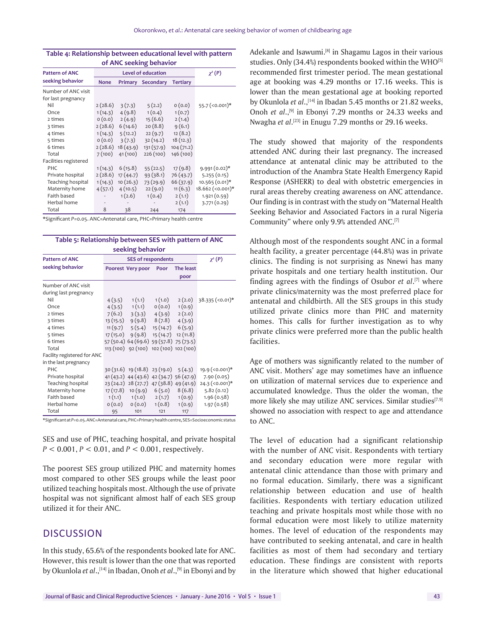| of ANC seeking behavior |                    |                  |                          |                 |                    |
|-------------------------|--------------------|------------------|--------------------------|-----------------|--------------------|
| <b>Pattern of ANC</b>   | Level of education |                  |                          |                 | $\chi^2(P)$        |
| seeking behavior        | <b>None</b>        |                  | <b>Primary Secondary</b> | <b>Tertiary</b> |                    |
| Number of ANC visit     |                    |                  |                          |                 |                    |
| for last pregnancy      |                    |                  |                          |                 |                    |
| Nil                     | 2(28.6)            | 3(7.3)           | 5(2.2)                   | 0(0.0)          | $55.7$ (<0.001)*   |
| Once                    | 1(14.3)            | 4(9.8)           | 1(0.4)                   | 1(0.7)          |                    |
| 2 times                 | O(0.0)             | 2(4.9)           | 15(6.6)                  | 2(1.4)          |                    |
| 3 times                 | 2(28.6)            | 6(14.6)          | 20(8.8)                  | 9(6.1)          |                    |
| 4 times                 | 1(14.3)            | 5(12.2)          | 22(9.7)                  | 12(8.2)         |                    |
| 5 times                 | 0(0.0)             | 3(7.3)           | 32(14.2)                 | 18(12.3)        |                    |
| 6 times                 | 2(28.6)            | 18(43.9)         | 131(57.9)                | 104(71.2)       |                    |
| Total                   | 7(100)             | 41(100)          | 226(100)                 | 146 (100)       |                    |
| Facilities registered   |                    |                  |                          |                 |                    |
| PHC                     | 1(14.3)            | 6(15.8)          | 55(22.5)                 | 17(9.8)         | $9.991(0.02)$ *    |
| Private hospital        |                    | 2(28.6) 17(44.7) | 93(38.1)                 | 76(43.7)        | 5.255(0.15)        |
| Teaching hospital       | 1(14.3)            | 10(26.3)         | 73 (29.9)                | 66(37.9)        | $10.565(0.01)$ *   |
| Maternity home          | 4(57.1)            | 4(10.5)          | 22(9.0)                  | 11(6.3)         | $18.662$ (<0.001)* |
| Faith based             |                    | 1(2.6)           | 1(0.4)                   | 2(1.1)          | 1.921(0.59)        |
| Herbal home             |                    |                  |                          | 2(1.1)          | 3.771(0.29)        |
| Total                   | 8                  | 38               | 244                      | 174             |                    |

# **Table 4: Relationship between educational level with pattern**

\*Significant *P=*0.05. ANC=Antenatal care, PHC=Primary health centre

| Table 5: Relationship between SES with pattern of ANC<br>seeking behavior |                           |                                          |                              |                                     |                           |
|---------------------------------------------------------------------------|---------------------------|------------------------------------------|------------------------------|-------------------------------------|---------------------------|
| <b>Pattern of ANC</b>                                                     |                           | $\chi^2(P)$                              |                              |                                     |                           |
| seeking behavior                                                          | Poorest Very poor<br>Poor |                                          | The least                    |                                     |                           |
|                                                                           |                           |                                          |                              | poor                                |                           |
| Number of ANC visit                                                       |                           |                                          |                              |                                     |                           |
| during last pregnancy                                                     |                           |                                          |                              |                                     |                           |
| Nil                                                                       | 4(3.5)                    | 1(1.1)                                   | 1(1.0)                       | 2(2.0)                              | $38.335 \approx (0.01)^*$ |
| Once                                                                      |                           | $4(3.5)$ $1(1.1)$                        | 0(0.0)                       | 1(0.9)                              |                           |
| 2 times                                                                   | 7(6.2)                    |                                          | $3(3.3)$ $4(3.9)$            | 2(2.0)                              |                           |
| 3 times                                                                   | 13(15.5)                  |                                          | 9(9.8) 8(7.8)                | 4(3.9)                              |                           |
| 4 times                                                                   | 11(9.7)                   |                                          | $5(5.4)$ $15(14.7)$ $6(5.9)$ |                                     |                           |
| 5 times                                                                   | 17 (15.0)                 |                                          | $9(9.8)$ 15 (14.7)           | 12(11.8)                            |                           |
| 6 times                                                                   |                           | 57 (50.4) 64 (69.6) 59 (57.8) 75 (73.5)  |                              |                                     |                           |
| Total                                                                     |                           | 113 (100) 92 (100) 102 (100) 102 (100)   |                              |                                     |                           |
| Facility registered for ANC                                               |                           |                                          |                              |                                     |                           |
| in the last pregnancy                                                     |                           |                                          |                              |                                     |                           |
| PHC                                                                       |                           | $30(31.6)$ 19 (18.8) 23 (19.0)           |                              | 5(4.3)                              | $19.9$ (<0.001)*          |
| Private hospital                                                          |                           | $41(43.2)$ 44 (43.6) 42 (34.7) 56 (47.9) |                              |                                     | 7.90(0.05)                |
| Teaching hospital                                                         |                           | 23 (24.2) 28 (27.7) 47 (38.8) 49 (41.9)  |                              |                                     | $24.3$ (<0.001)*          |
| Maternity home                                                            | 17 (17.8)                 |                                          |                              | $10(9.9) \quad 6(5.0) \quad 8(6.8)$ | 5.82(0.12)                |
| Faith based                                                               |                           | $1(1.1)$ $1(1.0)$                        |                              | 2(1.7) 1(0.9)                       | 1.96(0.58)                |
| Herbal home                                                               | O(0.0)                    | 0(0.0)                                   | 1(0.8)                       | 1(0.9)                              | 1.97(0.58)                |
| Total                                                                     | 95                        | 101                                      | 121                          | 117                                 |                           |

\*Significant at *P=*0.05. ANC=Antenatal care, PHC=Primary health centre, SES=Socioeconomic status

SES and use of PHC, teaching hospital, and private hospital *P* < 0.001, *P* < 0.01, and *P* < 0.001, respectively.

The poorest SES group utilized PHC and maternity homes most compared to other SES groups while the least poor utilized teaching hospitals most. Although the use of private hospital was not significant almost half of each SES group utilized it for their ANC.

# **DISCUSSION**

In this study, 65.6% of the respondents booked late for ANC. However, this result is lower than the one that was reported by Okunlola *et al*.,[14] in Ibadan, Onoh *et al*.,[9] in Ebonyi and by Adekanle and Isawumi.<sup>[8]</sup> in Shagamu Lagos in their various studies. Only (34.4%) respondents booked within the WHO<sup>[5]</sup> recommended first trimester period. The mean gestational age at booking was 4.29 months or 17.16 weeks. This is lower than the mean gestational age at booking reported by Okunlola *et al*.,[14] in Ibadan 5.45 months or 21.82 weeks, Onoh *et al*.,[9] in Ebonyi 7.29 months or 24.33 weeks and Nwagha *et al*. [23] in Enugu 7.29 months or 29.16 weeks.

The study showed that majority of the respondents attended ANC during their last pregnancy. The increased attendance at antenatal clinic may be attributed to the introduction of the Anambra State Health Emergency Rapid Response (ASHERR) to deal with obstetric emergencies in rural areas thereby creating awareness on ANC attendance. Our finding is in contrast with the study on "Maternal Health Seeking Behavior and Associated Factors in a rural Nigeria Community" where only 9.9% attended ANC.[7]

Although most of the respondents sought ANC in a formal health facility, a greater percentage (44.8%) was in private clinics. The finding is not surprising as Nnewi has many private hospitals and one tertiary health institution. Our finding agrees with the findings of Osubor *et al*. [7] where private clinics/maternity was the most preferred place for antenatal and childbirth. All the SES groups in this study utilized private clinics more than PHC and maternity homes. This calls for further investigation as to why private clinics were preferred more than the public health facilities.

Age of mothers was significantly related to the number of ANC visit. Mothers' age may sometimes have an influence on utilization of maternal services due to experience and accumulated knowledge. Thus the older the woman, the more likely she may utilize ANC services. Similar studies<sup>[7,9]</sup> showed no association with respect to age and attendance to ANC.

The level of education had a significant relationship with the number of ANC visit. Respondents with tertiary and secondary education were more regular with antenatal clinic attendance than those with primary and no formal education. Similarly, there was a significant relationship between education and use of health facilities. Respondents with tertiary education utilized teaching and private hospitals most while those with no formal education were most likely to utilize maternity homes. The level of education of the respondents may have contributed to seeking antenatal, and care in health facilities as most of them had secondary and tertiary education. These findings are consistent with reports in the literature which showed that higher educational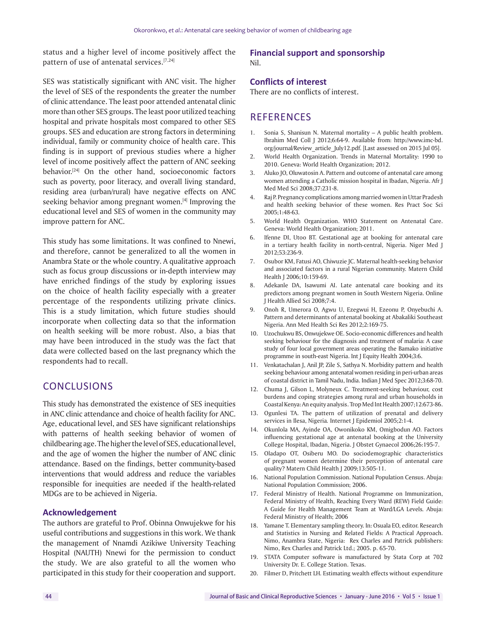status and a higher level of income positively affect the pattern of use of antenatal services.<sup>[7,24]</sup>

SES was statistically significant with ANC visit. The higher the level of SES of the respondents the greater the number of clinic attendance. The least poor attended antenatal clinic more than other SES groups. The least poor utilized teaching hospital and private hospitals most compared to other SES groups. SES and education are strong factors in determining individual, family or community choice of health care. This finding is in support of previous studies where a higher level of income positively affect the pattern of ANC seeking behavior.[24] On the other hand, socioeconomic factors such as poverty, poor literacy, and overall living standard, residing area (urban/rural) have negative effects on ANC seeking behavior among pregnant women.<sup>[4]</sup> Improving the educational level and SES of women in the community may improve pattern for ANC.

This study has some limitations. It was confined to Nnewi, and therefore, cannot be generalized to all the women in Anambra State or the whole country. A qualitative approach such as focus group discussions or in-depth interview may have enriched findings of the study by exploring issues on the choice of health facility especially with a greater percentage of the respondents utilizing private clinics. This is a study limitation, which future studies should incorporate when collecting data so that the information on health seeking will be more robust. Also, a bias that may have been introduced in the study was the fact that data were collected based on the last pregnancy which the respondents had to recall.

# **CONCLUSIONS**

This study has demonstrated the existence of SES inequities in ANC clinic attendance and choice of health facility for ANC. Age, educational level, and SES have significant relationships with patterns of health seeking behavior of women of childbearing age. The higher the level of SES, educational level, and the age of women the higher the number of ANC clinic attendance. Based on the findings, better community-based interventions that would address and reduce the variables responsible for inequities are needed if the health-related MDGs are to be achieved in Nigeria.

## **Acknowledgement**

The authors are grateful to Prof. Obinna Onwujekwe for his useful contributions and suggestions in this work. We thank the management of Nnamdi Azikiwe University Teaching Hospital (NAUTH) Nnewi for the permission to conduct the study. We are also grateful to all the women who participated in this study for their cooperation and support.

## **Financial support and sponsorship**  Nil.

## **Conflicts of interest**

There are no conflicts of interest.

# **REFERENCES**

- 1. Sonia S, Shanisun N. Maternal mortality A public health problem**.** Ibrahim Med Coll J 2012;6:64-9. Available from: http://www.imc-bd. org/journal/Review\_article\_July12.pdf. [Last assessed on 2015 Jul 05].
- 2. World Health Organization. Trends in Maternal Mortality: 1990 to 2010. Geneva: World Health Organization; 2012.
- 3. Aluko JO, Oluwatosin A. Pattern and outcome of antenatal care among women attending a Catholic mission hospital in Ibadan, Nigeria. Afr J Med Med Sci 2008;37:231-8.
- 4. Raj P. Pregnancy complications among married women in Uttar Pradesh and health seeking behavior of these women. Res Pract Soc Sci 2005;1:48-63*.*
- 5. World Health Organization. WHO Statement on Antenatal Care. Geneva: World Health Organization; 2011.
- 6. Ifenne DI, Utoo BT. Gestational age at booking for antenatal care in a tertiary health facility in north-central, Nigeria. Niger Med J 2012;53:236-9.
- 7. Osubor KM, Fatusi AO, Chiwuzie JC. Maternal health-seeking behavior and associated factors in a rural Nigerian community. Matern Child Health J 2006;10:159-69.
- 8. Adekanle DA, Isawumi AI. Late antenatal care booking and its predictors among pregnant women in South Western Nigeria. Online J Health Allied Sci 2008;7:4.
- 9. Onoh R, Umerora O, Agwu U, Ezegwui H, Ezeonu P, Onyebuchi A. Pattern and determinants of antenatal booking at Abakaliki Southeast Nigeria. Ann Med Health Sci Res 2012;2:169-75.
- 10. Uzochukwu BS, Onwujekwe OE. Socio-economic differences and health seeking behaviour for the diagnosis and treatment of malaria: A case study of four local government areas operating the Bamako initiative programme in south-east Nigeria. Int J Equity Health 2004;3:6.
- 11. Venkatachalan J, Anil JP, Zile S, Sathya N. Morbidity pattern and health seeking behaviour among antenatal women residing in peri-urban areas of coastal district in Tamil Nadu, India. Indian J Med Spec 2012;3:68-70.
- 12. Chuma J, Gilson L, Molyneux C. Treatment-seeking behaviour, cost burdens and coping strategies among rural and urban households in Coastal Kenya: An equity analysis. Trop Med Int Health 2007;12:673-86.
- 13. Ogunlesi TA. The pattern of utilization of prenatal and delivery services in Ilesa, Nigeria*.* Internet J Epidemiol 2005;2:1-4.
- 14. Okunlola MA, Ayinde OA, Owonikoko KM, Omigbodun AO. Factors influencing gestational age at antenatal booking at the University College Hospital, Ibadan, Nigeria. J Obstet Gynaecol 2006;26:195-7.
- 15. Oladapo OT, Osiberu MO. Do sociodemographic characteristics of pregnant women determine their perception of antenatal care quality? Matern Child Health J 2009;13:505-11.
- 16. National Population Commission. National Population Census. Abuja: National Population Commission; 2006.
- 17. Federal Ministry of Health. National Programme on Immunization, Federal Ministry of Health, Reaching Every Ward (REW) Field Guide: A Guide for Health Management Team at Ward/LGA Levels*.* Abuja: Federal Ministry of Health; 2006
- 18. Yamane T. Elementary sampling theory. In: Osuala EO, editor. Research and Statistics in Nursing and Related Fields: A Practical Approach. Nimo, Anambra State, Nigeria: Rex Charles and Patrick publishers: Nimo, Rex Charles and Patrick Ltd.; 2005. p. 65-70.
- 19. STATA Computer software is manufactured by Stata Corp at 702 University Dr. E. College Station. Texas.
- 20. Filmer D, Pritchett LH. Estimating wealth effects without expenditure